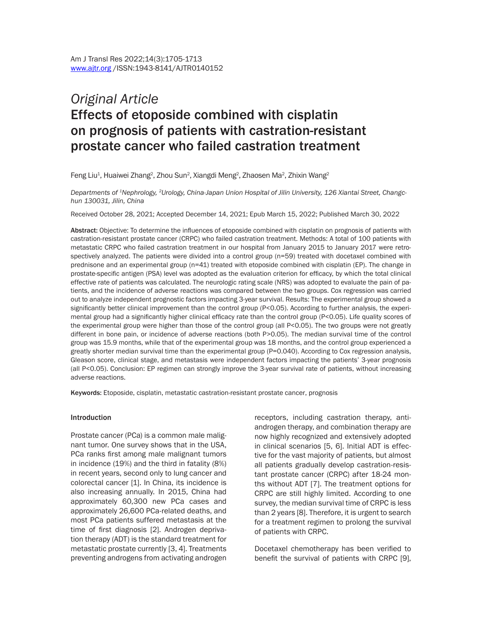# *Original Article* Effects of etoposide combined with cisplatin on prognosis of patients with castration-resistant prostate cancer who failed castration treatment

Feng Liu<sup>1</sup>, Huaiwei Zhang<sup>2</sup>, Zhou Sun<sup>2</sup>, Xiangdi Meng<sup>2</sup>, Zhaosen Ma<sup>2</sup>, Zhixin Wang<sup>2</sup>

*Departments of 1Nephrology, 2Urology, China-Japan Union Hospital of Jilin University, 126 Xiantai Street, Changchun 130031, Jilin, China*

Received October 28, 2021; Accepted December 14, 2021; Epub March 15, 2022; Published March 30, 2022

Abstract: Objective: To determine the influences of etoposide combined with cisplatin on prognosis of patients with castration-resistant prostate cancer (CRPC) who failed castration treatment. Methods: A total of 100 patients with metastatic CRPC who failed castration treatment in our hospital from January 2015 to January 2017 were retrospectively analyzed. The patients were divided into a control group (n=59) treated with docetaxel combined with prednisone and an experimental group (n=41) treated with etoposide combined with cisplatin (EP). The change in prostate-specific antigen (PSA) level was adopted as the evaluation criterion for efficacy, by which the total clinical effective rate of patients was calculated. The neurologic rating scale (NRS) was adopted to evaluate the pain of patients, and the incidence of adverse reactions was compared between the two groups. Cox regression was carried out to analyze independent prognostic factors impacting 3-year survival. Results: The experimental group showed a significantly better clinical improvement than the control group (P<0.05). According to further analysis, the experimental group had a significantly higher clinical efficacy rate than the control group (P<0.05). Life quality scores of the experimental group were higher than those of the control group (all P<0.05). The two groups were not greatly different in bone pain, or incidence of adverse reactions (both P>0.05). The median survival time of the control group was 15.9 months, while that of the experimental group was 18 months, and the control group experienced a greatly shorter median survival time than the experimental group (P=0.040). According to Cox regression analysis, Gleason score, clinical stage, and metastasis were independent factors impacting the patients' 3-year prognosis (all P<0.05). Conclusion: EP regimen can strongly improve the 3-year survival rate of patients, without increasing adverse reactions.

Keywords: Etoposide, cisplatin, metastatic castration-resistant prostate cancer, prognosis

#### Introduction

Prostate cancer (PCa) is a common male malignant tumor. One survey shows that in the USA, PCa ranks first among male malignant tumors in incidence (19%) and the third in fatality (8%) in recent years, second only to lung cancer and colorectal cancer [1]. In China, its incidence is also increasing annually. In 2015, China had approximately 60,300 new PCa cases and approximately 26,600 PCa-related deaths, and most PCa patients suffered metastasis at the time of first diagnosis [2]. Androgen deprivation therapy (ADT) is the standard treatment for metastatic prostate currently [3, 4]. Treatments preventing androgens from activating androgen receptors, including castration therapy, antiandrogen therapy, and combination therapy are now highly recognized and extensively adopted in clinical scenarios [5, 6]. Initial ADT is effective for the vast majority of patients, but almost all patients gradually develop castration-resistant prostate cancer (CRPC) after 18-24 months without ADT [7]. The treatment options for CRPC are still highly limited. According to one survey, the median survival time of CRPC is less than 2 years [8]. Therefore, it is urgent to search for a treatment regimen to prolong the survival of patients with CRPC.

Docetaxel chemotherapy has been verified to benefit the survival of patients with CRPC [9],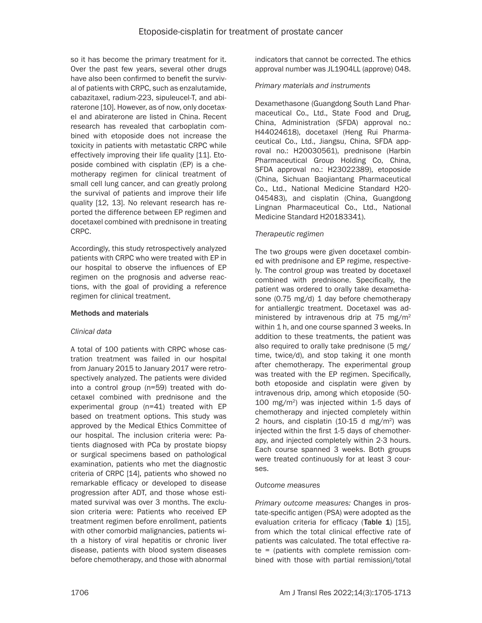so it has become the primary treatment for it. Over the past few years, several other drugs have also been confirmed to benefit the survival of patients with CRPC, such as enzalutamide, cabazitaxel, radium-223, sipuleucel-T, and abiraterone [10]. However, as of now, only docetaxel and abiraterone are listed in China. Recent research has revealed that carboplatin combined with etoposide does not increase the toxicity in patients with metastatic CRPC while effectively improving their life quality [11]. Etoposide combined with cisplatin (EP) is a chemotherapy regimen for clinical treatment of small cell lung cancer, and can greatly prolong the survival of patients and improve their life quality [12, 13]. No relevant research has reported the difference between EP regimen and docetaxel combined with prednisone in treating CRPC.

Accordingly, this study retrospectively analyzed patients with CRPC who were treated with EP in our hospital to observe the influences of EP regimen on the prognosis and adverse reactions, with the goal of providing a reference regimen for clinical treatment.

# Methods and materials

# *Clinical data*

A total of 100 patients with CRPC whose castration treatment was failed in our hospital from January 2015 to January 2017 were retrospectively analyzed. The patients were divided into a control group (n=59) treated with docetaxel combined with prednisone and the experimental group (n=41) treated with EP based on treatment options. This study was approved by the Medical Ethics Committee of our hospital. The inclusion criteria were: Patients diagnosed with PCa by prostate biopsy or surgical specimens based on pathological examination, patients who met the diagnostic criteria of CRPC [14], patients who showed no remarkable efficacy or developed to disease progression after ADT, and those whose estimated survival was over 3 months. The exclusion criteria were: Patients who received EP treatment regimen before enrollment, patients with other comorbid malignancies, patients with a history of viral hepatitis or chronic liver disease, patients with blood system diseases before chemotherapy, and those with abnormal

indicators that cannot be corrected. The ethics approval number was JL1904LL (approve) 048.

# *Primary materials and instruments*

Dexamethasone (Guangdong South Land Pharmaceutical Co., Ltd., State Food and Drug, China, Administration (SFDA) approval no.: H44024618), docetaxel (Heng Rui Pharmaceutical Co., Ltd., Jiangsu, China, SFDA approval no.: H20030561), prednisone (Harbin Pharmaceutical Group Holding Co, China, SFDA approval no.: H23022389), etoposide (China, Sichuan Baojiantang Pharmaceutical Co., Ltd., National Medicine Standard H20- 045483), and cisplatin (China, Guangdong Lingnan Pharmaceutical Co., Ltd., National Medicine Standard H20183341).

# *Therapeutic regimen*

The two groups were given docetaxel combined with prednisone and EP regime, respectively. The control group was treated by docetaxel combined with prednisone. Specifically, the patient was ordered to orally take dexamethasone (0.75 mg/d) 1 day before chemotherapy for antiallergic treatment. Docetaxel was administered by intravenous drip at 75 mg/m<sup>2</sup> within 1 h, and one course spanned 3 weeks. In addition to these treatments, the patient was also required to orally take prednisone (5 mg/ time, twice/d), and stop taking it one month after chemotherapy. The experimental group was treated with the EP regimen. Specifically, both etoposide and cisplatin were given by intravenous drip, among which etoposide (50- 100 mg/m2) was injected within 1-5 days of chemotherapy and injected completely within 2 hours, and cisplatin  $(10-15$  d mg/m<sup>2</sup>) was injected within the first 1-5 days of chemotherapy, and injected completely within 2-3 hours. Each course spanned 3 weeks. Both groups were treated continuously for at least 3 courses.

# *Outcome measures*

*Primary outcome measures:* Changes in prostate-specific antigen (PSA) were adopted as the evaluation criteria for efficacy (Table 1) [15], from which the total clinical effective rate of patients was calculated. The total effective rate = (patients with complete remission combined with those with partial remission)/total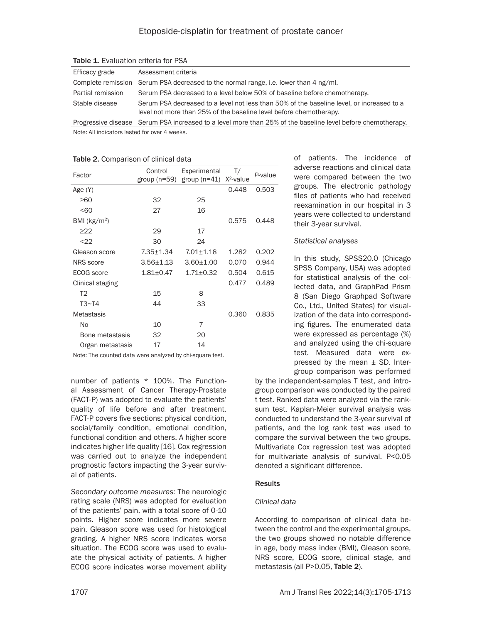| Efficacy grade    | Assessment criteria                                                                                                                                             |
|-------------------|-----------------------------------------------------------------------------------------------------------------------------------------------------------------|
|                   | Complete remission Serum PSA decreased to the normal range, i.e. lower than 4 ng/ml.                                                                            |
| Partial remission | Serum PSA decreased to a level below 50% of baseline before chemotherapy.                                                                                       |
| Stable disease    | Serum PSA decreased to a level not less than 50% of the baseline level, or increased to a<br>level not more than 25% of the baseline level before chemotherapy. |
|                   | Progressive disease Serum PSA increased to a level more than 25% of the baseline level before chemotherapy.                                                     |

Table 1. Evaluation criteria for PSA

Note: All indicators lasted for over 4 weeks.

| Factor            | Control<br>group ( $n = 59$ ) | Experimental<br>group $(n=41)$ | T/<br>$X^2$ -value | P-value |
|-------------------|-------------------------------|--------------------------------|--------------------|---------|
| Age (Y)           |                               |                                | 0.448              | 0.503   |
| $\geq 60$         | 32                            | 25                             |                    |         |
| 50 <sub>60</sub>  | 27                            | 16                             |                    |         |
| BMI ( $kg/m2$ )   |                               |                                | 0.575              | 0.448   |
| >22               | 29                            | 17                             |                    |         |
| $22$              | 30                            | 24                             |                    |         |
| Gleason score     | $7.35 \pm 1.34$               | $7.01 \pm 1.18$                | 1.282              | 0.202   |
| <b>NRS</b> score  | $3.56 + 1.13$                 | $3.60 + 1.00$                  | 0.070              | 0.944   |
| ECOG score        | $1.81 \pm 0.47$               | $1.71 \pm 0.32$                | 0.504              | 0.615   |
| Clinical staging  |                               |                                | 0.477              | 0.489   |
| T <sub>2</sub>    | 15                            | 8                              |                    |         |
| T3~T4             | 44                            | 33                             |                    |         |
| <b>Metastasis</b> |                               |                                | 0.360              | 0.835   |
| No                | 10                            | 7                              |                    |         |
| Bone metastasis   | 32                            | 20                             |                    |         |
| Organ metastasis  | 17                            | 14                             |                    |         |

#### Table 2. Comparison of clinical data

Note: The counted data were analyzed by chi-square test.

number of patients \* 100%. The Functional Assessment of Cancer Therapy-Prostate (FACT-P) was adopted to evaluate the patients' quality of life before and after treatment. FACT-P covers five sections: physical condition, social/family condition, emotional condition, functional condition and others. A higher score indicates higher life quality [16]. Cox regression was carried out to analyze the independent prognostic factors impacting the 3-year survival of patients.

*Secondary outcome measures:* The neurologic rating scale (NRS) was adopted for evaluation of the patients' pain, with a total score of 0-10 points. Higher score indicates more severe pain. Gleason score was used for histological grading. A higher NRS score indicates worse situation. The ECOG score was used to evaluate the physical activity of patients. A higher ECOG score indicates worse movement ability of patients. The incidence of adverse reactions and clinical data were compared between the two groups. The electronic pathology files of patients who had received reexamination in our hospital in 3 years were collected to understand their 3-year survival.

# *Statistical analyses*

In this study, SPSS20.0 (Chicago SPSS Company, USA) was adopted for statistical analysis of the collected data, and GraphPad Prism 8 (San Diego Graphpad Software Co., Ltd., United States) for visualization of the data into corresponding figures. The enumerated data were expressed as percentage (%) and analyzed using the chi-square test. Measured data were expressed by the mean  $\pm$  SD. Intergroup comparison was performed

by the independent-samples T test, and introgroup comparison was conducted by the paired t test. Ranked data were analyzed via the ranksum test. Kaplan-Meier survival analysis was conducted to understand the 3-year survival of patients, and the log rank test was used to compare the survival between the two groups. Multivariate Cox regression test was adopted for multivariate analysis of survival. P<0.05 denoted a significant difference.

# Results

# *Clinical data*

According to comparison of clinical data between the control and the experimental groups, the two groups showed no notable difference in age, body mass index (BMI), Gleason score, NRS score, ECOG score, clinical stage, and metastasis (all P>0.05, Table 2).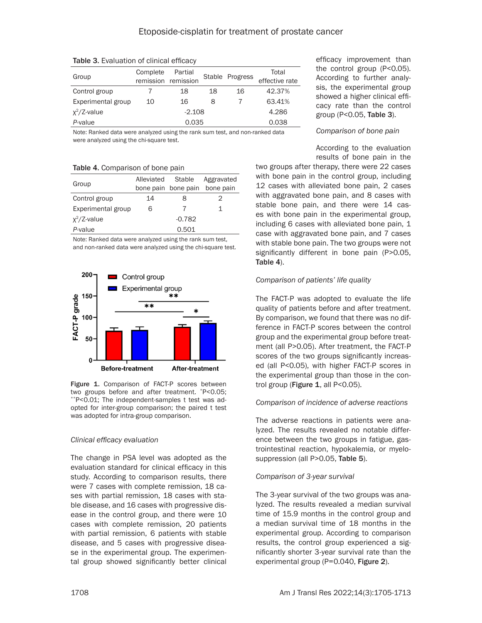| Group              | Complete | Partial<br>Stable Progress<br>remission remission |    |    | Total<br>effective rate |
|--------------------|----------|---------------------------------------------------|----|----|-------------------------|
| Control group      |          | 18                                                | 18 | 16 | 42.37%                  |
| Experimental group | 10       | 16                                                | 8  |    | 63.41%                  |
| $x^2/Z$ -value     | $-2.108$ |                                                   |    |    | 4.286                   |
| P-value            | 0.035    |                                                   |    |    | 0.038                   |

Table 3. Evaluation of clinical efficacy

Note: Ranked data were analyzed using the rank sum test, and non-ranked data were analyzed using the chi-square test.

Table 4. Comparison of bone pain

|                    | Alleviated | <b>Stable</b>       | Aggravated |  |
|--------------------|------------|---------------------|------------|--|
| Group              |            | bone pain bone pain | bone pain  |  |
| Control group      | 14         | 8                   | 2          |  |
| Experimental group | 6          |                     | 1          |  |
| $x^2/Z$ -value     |            | $-0.782$            |            |  |
| P-value            |            | 0.501               |            |  |

Note: Ranked data were analyzed using the rank sum test, and non-ranked data were analyzed using the chi-square test.



Figure 1. Comparison of FACT-P scores between two groups before and after treatment. \*P<0.05; \*\*P<0.01; The independent-samples t test was adopted for inter-group comparison; the paired t test was adopted for intra-group comparison.

# *Clinical efficacy evaluation*

The change in PSA level was adopted as the evaluation standard for clinical efficacy in this study. According to comparison results, there were 7 cases with complete remission, 18 cases with partial remission, 18 cases with stable disease, and 16 cases with progressive disease in the control group, and there were 10 cases with complete remission, 20 patients with partial remission, 6 patients with stable disease, and 5 cases with progressive disease in the experimental group. The experimental group showed significantly better clinical

efficacy improvement than the control group (P<0.05). According to further analysis, the experimental group showed a higher clinical efficacy rate than the control group (P<0.05, Table 3).

# *Comparison of bone pain*

According to the evaluation results of bone pain in the

two groups after therapy, there were 22 cases with bone pain in the control group, including 12 cases with alleviated bone pain, 2 cases with aggravated bone pain, and 8 cases with stable bone pain, and there were 14 cases with bone pain in the experimental group, including 6 cases with alleviated bone pain, 1 case with aggravated bone pain, and 7 cases with stable bone pain. The two groups were not significantly different in bone pain (P>0.05, Table 4).

# *Comparison of patients' life quality*

The FACT-P was adopted to evaluate the life quality of patients before and after treatment. By comparison, we found that there was no difference in FACT-P scores between the control group and the experimental group before treatment (all P>0.05). After treatment, the FACT-P scores of the two groups significantly increased (all P<0.05), with higher FACT-P scores in the experimental group than those in the control group (Figure  $1$ , all P<0.05).

# *Comparison of incidence of adverse reactions*

The adverse reactions in patients were analyzed. The results revealed no notable difference between the two groups in fatigue, gastrointestinal reaction, hypokalemia, or myelosuppression (all P>0.05, Table 5).

# *Comparison of 3-year survival*

The 3-year survival of the two groups was analyzed. The results revealed a median survival time of 15.9 months in the control group and a median survival time of 18 months in the experimental group. According to comparison results, the control group experienced a significantly shorter 3-year survival rate than the experimental group (P=0.040, Figure 2).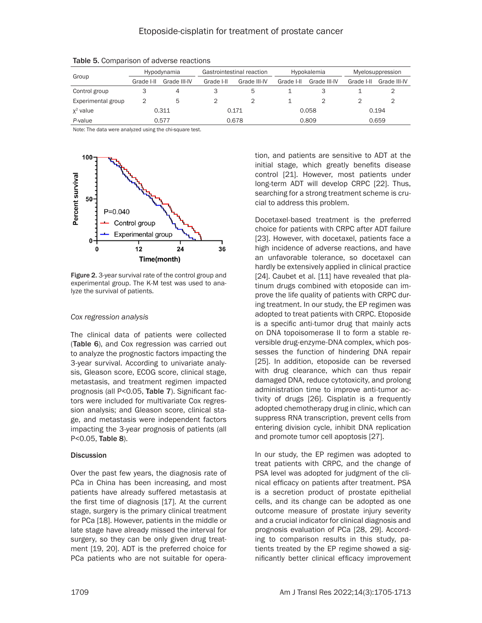| Group              | Hypodynamia |              | Gastrointestinal reaction |              | Hypokalemia |              | Myelosuppression |              |
|--------------------|-------------|--------------|---------------------------|--------------|-------------|--------------|------------------|--------------|
|                    | Grade I-II  | Grade III-IV | Grade I-II                | Grade III-IV | Grade I-II  | Grade III-IV | Grade I-II       | Grade III-IV |
| Control group      | 3           |              |                           | 5            |             |              |                  |              |
| Experimental group |             | 5            |                           |              |             |              |                  |              |
| $x^2$ value        | 0.311       |              | 0.171                     |              | 0.058       |              | 0.194            |              |
| P-value            | 0.577       |              | 0.678                     |              | 0.809       |              | 0.659            |              |

Table 5. Comparison of adverse reactions

Note: The data were analyzed using the chi-square test.



Figure 2. 3-year survival rate of the control group and experimental group. The K-M test was used to analyze the survival of patients.

#### *Cox regression analysis*

The clinical data of patients were collected (Table 6), and Cox regression was carried out to analyze the prognostic factors impacting the 3-year survival. According to univariate analysis, Gleason score, ECOG score, clinical stage, metastasis, and treatment regimen impacted prognosis (all P<0.05, Table 7). Significant factors were included for multivariate Cox regression analysis; and Gleason score, clinical stage, and metastasis were independent factors impacting the 3-year prognosis of patients (all P<0.05, Table 8).

## **Discussion**

Over the past few years, the diagnosis rate of PCa in China has been increasing, and most patients have already suffered metastasis at the first time of diagnosis [17]. At the current stage, surgery is the primary clinical treatment for PCa [18]. However, patients in the middle or late stage have already missed the interval for surgery, so they can be only given drug treatment [19, 20]. ADT is the preferred choice for PCa patients who are not suitable for operation, and patients are sensitive to ADT at the initial stage, which greatly benefits disease control [21]. However, most patients under long-term ADT will develop CRPC [22]. Thus, searching for a strong treatment scheme is crucial to address this problem.

Docetaxel-based treatment is the preferred choice for patients with CRPC after ADT failure [23]. However, with docetaxel, patients face a high incidence of adverse reactions, and have an unfavorable tolerance, so docetaxel can hardly be extensively applied in clinical practice [24]. Caubet et al. [11] have revealed that platinum drugs combined with etoposide can improve the life quality of patients with CRPC during treatment. In our study, the EP regimen was adopted to treat patients with CRPC. Etoposide is a specific anti-tumor drug that mainly acts on DNA topoisomerase II to form a stable reversible drug-enzyme-DNA complex, which possesses the function of hindering DNA repair [25]. In addition, etoposide can be reversed with drug clearance, which can thus repair damaged DNA, reduce cytotoxicity, and prolong administration time to improve anti-tumor activity of drugs [26]. Cisplatin is a frequently adopted chemotherapy drug in clinic, which can suppress RNA transcription, prevent cells from entering division cycle, inhibit DNA replication and promote tumor cell apoptosis [27].

In our study, the EP regimen was adopted to treat patients with CRPC, and the change of PSA level was adopted for judgment of the clinical efficacy on patients after treatment. PSA is a secretion product of prostate epithelial cells, and its change can be adopted as one outcome measure of prostate injury severity and a crucial indicator for clinical diagnosis and prognosis evaluation of PCa [28, 29]. According to comparison results in this study, patients treated by the EP regime showed a significantly better clinical efficacy improvement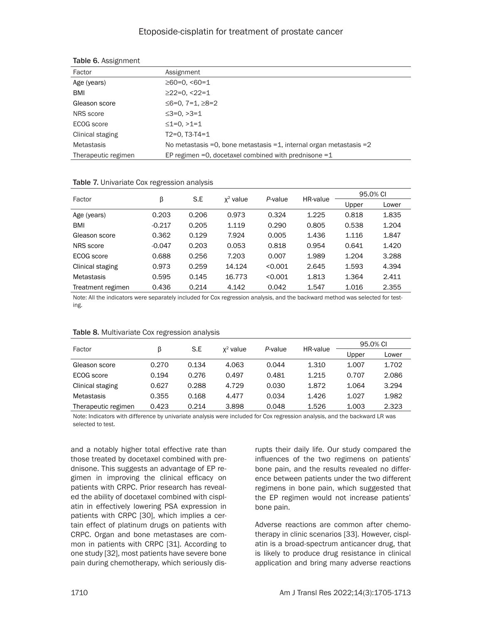# Etoposide-cisplatin for treatment of prostate cancer

| Factor              | Assignment                                                            |
|---------------------|-----------------------------------------------------------------------|
| Age (years)         | $\geq 60 = 0, \leq 60 = 1$                                            |
| BMI                 | $\geq$ 22=0. <22=1                                                    |
| Gleason score       | ≤6=0, 7=1, ≥8=2                                                       |
| NRS score           | $\leq$ 3=0. >3=1                                                      |
| ECOG score          | $\leq$ 1=0. >1=1                                                      |
| Clinical staging    | $T2=0. T3-T4=1$                                                       |
| <b>Metastasis</b>   | No metastasis = 0, bone metastasis = 1, internal organ metastasis = 2 |
| Therapeutic regimen | EP regimen =0, docetaxel combined with prednisone =1                  |

#### Table 6. Assignment

|                   |          |       |             |         |          | 95.0% CI |       |
|-------------------|----------|-------|-------------|---------|----------|----------|-------|
| Factor            | β        | S.E   | $x^2$ value | P-value | HR-value | Upper    | Lower |
| Age (years)       | 0.203    | 0.206 | 0.973       | 0.324   | 1.225    | 0.818    | 1.835 |
| <b>BMI</b>        | $-0.217$ | 0.205 | 1.119       | 0.290   | 0.805    | 0.538    | 1.204 |
| Gleason score     | 0.362    | 0.129 | 7.924       | 0.005   | 1.436    | 1.116    | 1.847 |
| NRS score         | $-0.047$ | 0.203 | 0.053       | 0.818   | 0.954    | 0.641    | 1.420 |
| ECOG score        | 0.688    | 0.256 | 7.203       | 0.007   | 1.989    | 1.204    | 3.288 |
| Clinical staging  | 0.973    | 0.259 | 14.124      | < 0.001 | 2.645    | 1.593    | 4.394 |
| Metastasis        | 0.595    | 0.145 | 16.773      | < 0.001 | 1.813    | 1.364    | 2.411 |
| Treatment regimen | 0.436    | 0.214 | 4.142       | 0.042   | 1.547    | 1.016    | 2.355 |

#### Table 7. Univariate Cox regression analysis

Note: All the indicators were separately included for Cox regression analysis, and the backward method was selected for testing.

| Factor              |       | S.E<br>$x^2$ value<br>P-value<br>ß |          |       |       | 95.0% CI |       |
|---------------------|-------|------------------------------------|----------|-------|-------|----------|-------|
|                     |       |                                    | HR-value | Upper | Lower |          |       |
| Gleason score       | 0.270 | 0.134                              | 4.063    | 0.044 | 1.310 | 1.007    | 1.702 |
| ECOG score          | 0.194 | 0.276                              | 0.497    | 0.481 | 1.215 | 0.707    | 2.086 |
| Clinical staging    | 0.627 | 0.288                              | 4.729    | 0.030 | 1.872 | 1.064    | 3.294 |
| Metastasis          | 0.355 | 0.168                              | 4.477    | 0.034 | 1.426 | 1.027    | 1.982 |
| Therapeutic regimen | 0.423 | 0.214                              | 3.898    | 0.048 | 1.526 | 1.003    | 2.323 |

#### Table 8. Multivariate Cox regression analysis

Note: Indicators with difference by univariate analysis were included for Cox regression analysis, and the backward LR was selected to test.

and a notably higher total effective rate than those treated by docetaxel combined with prednisone. This suggests an advantage of EP regimen in improving the clinical efficacy on patients with CRPC. Prior research has revealed the ability of docetaxel combined with cisplatin in effectively lowering PSA expression in patients with CRPC [30], which implies a certain effect of platinum drugs on patients with CRPC. Organ and bone metastases are common in patients with CRPC [31]. According to one study [32], most patients have severe bone pain during chemotherapy, which seriously disrupts their daily life. Our study compared the influences of the two regimens on patients' bone pain, and the results revealed no difference between patients under the two different regimens in bone pain, which suggested that the EP regimen would not increase patients' bone pain.

Adverse reactions are common after chemotherapy in clinic scenarios [33]. However, cisplatin is a broad-spectrum anticancer drug, that is likely to produce drug resistance in clinical application and bring many adverse reactions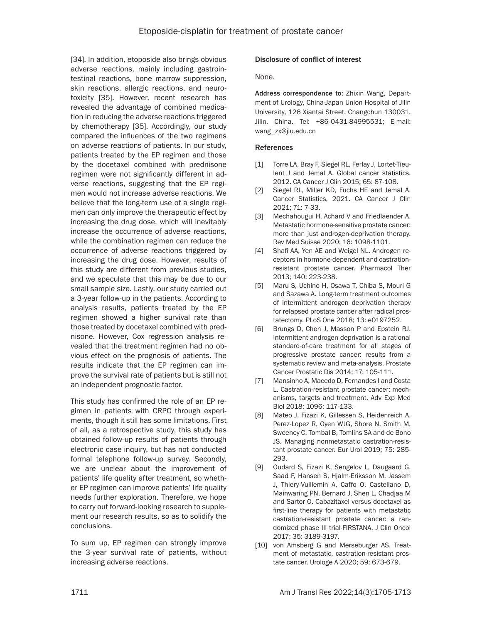[34]. In addition, etoposide also brings obvious adverse reactions, mainly including gastrointestinal reactions, bone marrow suppression, skin reactions, allergic reactions, and neurotoxicity [35]. However, recent research has revealed the advantage of combined medication in reducing the adverse reactions triggered by chemotherapy [35]. Accordingly, our study compared the influences of the two regimens on adverse reactions of patients. In our study, patients treated by the EP regimen and those by the docetaxel combined with prednisone regimen were not significantly different in adverse reactions, suggesting that the EP regimen would not increase adverse reactions. We believe that the long-term use of a single regimen can only improve the therapeutic effect by increasing the drug dose, which will inevitably increase the occurrence of adverse reactions, while the combination regimen can reduce the occurrence of adverse reactions triggered by increasing the drug dose. However, results of this study are different from previous studies, and we speculate that this may be due to our small sample size. Lastly, our study carried out a 3-year follow-up in the patients. According to analysis results, patients treated by the EP regimen showed a higher survival rate than those treated by docetaxel combined with prednisone. However, Cox regression analysis revealed that the treatment regimen had no obvious effect on the prognosis of patients. The results indicate that the EP regimen can improve the survival rate of patients but is still not an independent prognostic factor.

This study has confirmed the role of an EP regimen in patients with CRPC through experiments, though it still has some limitations. First of all, as a retrospective study, this study has obtained follow-up results of patients through electronic case inquiry, but has not conducted formal telephone follow-up survey. Secondly, we are unclear about the improvement of patients' life quality after treatment, so whether EP regimen can improve patients' life quality needs further exploration. Therefore, we hope to carry out forward-looking research to supplement our research results, so as to solidify the conclusions.

To sum up, EP regimen can strongly improve the 3-year survival rate of patients, without increasing adverse reactions.

# Disclosure of conflict of interest

None.

Address correspondence to: Zhixin Wang, Department of Urology, China-Japan Union Hospital of Jilin University, 126 Xiantai Street, Changchun 130031, Jilin, China. Tel: +86-0431-84995531; E-mail: [wang\\_zx@jlu.edu.cn](mailto:wang_zx@jlu.edu.cn)

## References

- [1] Torre LA, Bray F, Siegel RL, Ferlay J, Lortet-Tieulent J and Jemal A. Global cancer statistics, 2012. CA Cancer J Clin 2015; 65: 87-108.
- [2] Siegel RL, Miller KD, Fuchs HE and Jemal A. Cancer Statistics, 2021. CA Cancer J Clin 2021; 71: 7-33.
- [3] Mechahougui H, Achard V and Friedlaender A. Metastatic hormone-sensitive prostate cancer: more than just androgen-deprivation therapy. Rev Med Suisse 2020; 16: 1098-1101.
- [4] Shafi AA, Yen AE and Weigel NL. Androgen receptors in hormone-dependent and castrationresistant prostate cancer. Pharmacol Ther 2013; 140: 223-238.
- [5] Maru S, Uchino H, Osawa T, Chiba S, Mouri G and Sazawa A. Long-term treatment outcomes of intermittent androgen deprivation therapy for relapsed prostate cancer after radical prostatectomy. PLoS One 2018; 13: e0197252.
- [6] Brungs D, Chen J, Masson P and Epstein RJ. Intermittent androgen deprivation is a rational standard-of-care treatment for all stages of progressive prostate cancer: results from a systematic review and meta-analysis. Prostate Cancer Prostatic Dis 2014; 17: 105-111.
- [7] Mansinho A, Macedo D, Fernandes I and Costa L. Castration-resistant prostate cancer: mechanisms, targets and treatment. Adv Exp Med Biol 2018; 1096: 117-133.
- [8] Mateo J, Fizazi K, Gillessen S, Heidenreich A, Perez-Lopez R, Oyen WJG, Shore N, Smith M, Sweeney C, Tombal B, Tomlins SA and de Bono JS. Managing nonmetastatic castration-resistant prostate cancer. Eur Urol 2019; 75: 285- 293.
- [9] Oudard S, Fizazi K, Sengelov L, Daugaard G, Saad F, Hansen S, Hjalm-Eriksson M, Jassem J, Thiery-Vuillemin A, Caffo O, Castellano D, Mainwaring PN, Bernard J, Shen L, Chadjaa M and Sartor O. Cabazitaxel versus docetaxel as first-line therapy for patients with metastatic castration-resistant prostate cancer: a randomized phase III trial-FIRSTANA. J Clin Oncol 2017; 35: 3189-3197.
- [10] von Amsberg G and Merseburger AS. Treatment of metastatic, castration-resistant prostate cancer. Urologe A 2020; 59: 673-679.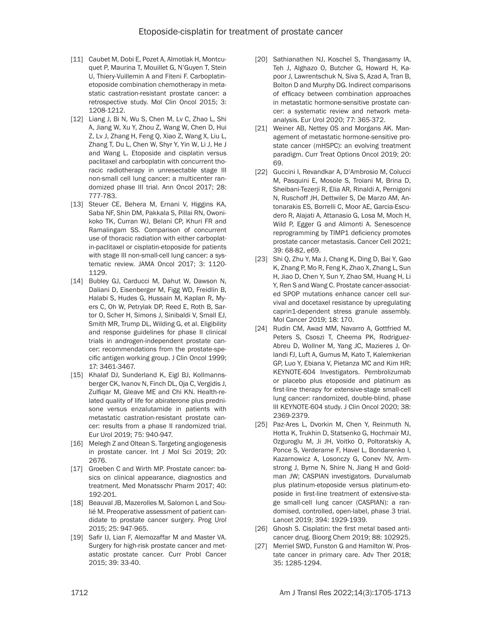- [11] Caubet M, Dobi E, Pozet A, Almotlak H, Montcuquet P, Maurina T, Mouillet G, N'Guyen T, Stein U, Thiery-Vuillemin A and Fiteni F. Carboplatinetoposide combination chemotherapy in metastatic castration-resistant prostate cancer: a retrospective study. Mol Clin Oncol 2015; 3: 1208-1212.
- [12] Liang J, Bi N, Wu S, Chen M, Lv C, Zhao L, Shi A, Jiang W, Xu Y, Zhou Z, Wang W, Chen D, Hui Z, Lv J, Zhang H, Feng Q, Xiao Z, Wang X, Liu L, Zhang T, Du L, Chen W, Shyr Y, Yin W, Li J, He J and Wang L. Etoposide and cisplatin versus paclitaxel and carboplatin with concurrent thoracic radiotherapy in unresectable stage III non-small cell lung cancer: a multicenter randomized phase III trial. Ann Oncol 2017; 28: 777-783.
- [13] Steuer CE, Behera M, Ernani V, Higgins KA, Saba NF, Shin DM, Pakkala S, Pillai RN, Owonikoko TK, Curran WJ, Belani CP, Khuri FR and Ramalingam SS. Comparison of concurrent use of thoracic radiation with either carboplatin-paclitaxel or cisplatin-etoposide for patients with stage III non-small-cell lung cancer: a systematic review. JAMA Oncol 2017; 3: 1120- 1129.
- [14] Bubley GJ, Carducci M, Dahut W, Dawson N, Daliani D, Eisenberger M, Figg WD, Freidlin B, Halabi S, Hudes G, Hussain M, Kaplan R, Myers C, Oh W, Petrylak DP, Reed E, Roth B, Sartor O, Scher H, Simons J, Sinibaldi V, Small EJ, Smith MR, Trump DL, Wilding G, et al. Eligibility and response guidelines for phase II clinical trials in androgen-independent prostate cancer: recommendations from the prostate-specific antigen working group. J Clin Oncol 1999; 17: 3461-3467.
- [15] Khalaf DJ, Sunderland K, Eigl BJ, Kollmannsberger CK, Ivanov N, Finch DL, Oja C, Vergidis J, Zulfiqar M, Gleave ME and Chi KN. Health-related quality of life for abiraterone plus prednisone versus enzalutamide in patients with metastatic castration-resistant prostate cancer: results from a phase II randomized trial. Eur Urol 2019; 75: 940-947.
- [16] Melegh Z and Oltean S. Targeting angiogenesis in prostate cancer. Int J Mol Sci 2019; 20: 2676.
- [17] Groeben C and Wirth MP. Prostate cancer: basics on clinical appearance, diagnostics and treatment. Med Monatsschr Pharm 2017; 40: 192-201.
- [18] Beauval JB, Mazerolles M, Salomon L and Soulié M. Preoperative assessment of patient candidate to prostate cancer surgery. Prog Urol 2015; 25: 947-965.
- [19] Safir IJ, Lian F, Alemozaffar M and Master VA. Surgery for high-risk prostate cancer and metastatic prostate cancer. Curr Probl Cancer 2015; 39: 33-40.
- [20] Sathianathen NJ, Koschel S, Thangasamy IA, Teh J, Alghazo O, Butcher G, Howard H, Kapoor J, Lawrentschuk N, Siva S, Azad A, Tran B, Bolton D and Murphy DG. Indirect comparisons of efficacy between combination approaches in metastatic hormone-sensitive prostate cancer: a systematic review and network metaanalysis. Eur Urol 2020; 77: 365-372.
- [21] Weiner AB, Nettey OS and Morgans AK. Management of metastatic hormone-sensitive prostate cancer (mHSPC): an evolving treatment paradigm. Curr Treat Options Oncol 2019; 20: 69.
- [22] Guccini I, Revandkar A, D'Ambrosio M, Colucci M, Pasquini E, Mosole S, Troiani M, Brina D, Sheibani-Tezerji R, Elia AR, Rinaldi A, Pernigoni N, Ruschoff JH, Dettwiler S, De Marzo AM, Antonarakis ES, Borrelli C, Moor AE, Garcia-Escudero R, Alajati A, Attanasio G, Losa M, Moch H, Wild P, Egger G and Alimonti A. Senescence reprogramming by TIMP1 deficiency promotes prostate cancer metastasis. Cancer Cell 2021; 39: 68-82, e69.
- [23] Shi Q, Zhu Y, Ma J, Chang K, Ding D, Bai Y, Gao K, Zhang P, Mo R, Feng K, Zhao X, Zhang L, Sun H, Jiao D, Chen Y, Sun Y, Zhao SM, Huang H, Li Y, Ren S and Wang C. Prostate cancer-associated SPOP mutations enhance cancer cell survival and docetaxel resistance by upregulating caprin1-dependent stress granule assembly. Mol Cancer 2019; 18: 170.
- [24] Rudin CM, Awad MM, Navarro A, Gottfried M, Peters S, Csoszi T, Cheema PK, Rodriguez-Abreu D, Wollner M, Yang JC, Mazieres J, Orlandi FJ, Luft A, Gumus M, Kato T, Kalemkerian GP, Luo Y, Ebiana V, Pietanza MC and Kim HR; KEYNOTE-604 Investigators. Pembrolizumab or placebo plus etoposide and platinum as first-line therapy for extensive-stage small-cell lung cancer: randomized, double-blind, phase III KEYNOTE-604 study. J Clin Oncol 2020; 38: 2369-2379.
- [25] Paz-Ares L, Dvorkin M, Chen Y, Reinmuth N, Hotta K, Trukhin D, Statsenko G, Hochmair MJ, Ozguroglu M, Ji JH, Voitko O, Poltoratskiy A, Ponce S, Verderame F, Havel L, Bondarenko I, Kazarnowicz A, Losonczy G, Conev NV, Armstrong J, Byrne N, Shire N, Jiang H and Goldman JW; CASPIAN investigators. Durvalumab plus platinum-etoposide versus platinum-etoposide in first-line treatment of extensive-stage small-cell lung cancer (CASPIAN): a randomised, controlled, open-label, phase 3 trial. Lancet 2019; 394: 1929-1939.
- [26] Ghosh S. Cisplatin: the first metal based anticancer drug. Bioorg Chem 2019; 88: 102925.
- [27] Merriel SWD, Funston G and Hamilton W. Prostate cancer in primary care. Adv Ther 2018; 35: 1285-1294.